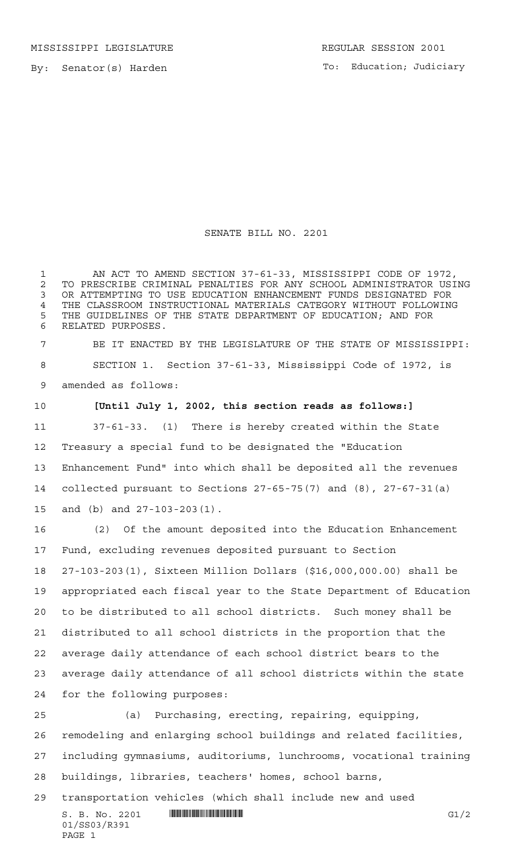MISSISSIPPI LEGISLATURE **REGULAR SESSION 2001** 

By: Senator(s) Harden

To: Education; Judiciary

## SENATE BILL NO. 2201

 AN ACT TO AMEND SECTION 37-61-33, MISSISSIPPI CODE OF 1972, 2 TO PRESCRIBE CRIMINAL PENALTIES FOR ANY SCHOOL ADMINISTRATOR USING<br>3 OR ATTEMPTING TO USE EDUCATION ENHANCEMENT FUNDS DESIGNATED FOR OR ATTEMPTING TO USE EDUCATION ENHANCEMENT FUNDS DESIGNATED FOR 4 THE CLASSROOM INSTRUCTIONAL MATERIALS CATEGORY WITHOUT FOLLOWING<br>5 THE GUIDELINES OF THE STATE DEPARTMENT OF EDUCATION·AND FOR THE GUIDELINES OF THE STATE DEPARTMENT OF EDUCATION; AND FOR RELATED PURPOSES.

 BE IT ENACTED BY THE LEGISLATURE OF THE STATE OF MISSISSIPPI: SECTION 1. Section 37-61-33, Mississippi Code of 1972, is amended as follows:

 **[Until July 1, 2002, this section reads as follows:]** 37-61-33. (1) There is hereby created within the State Treasury a special fund to be designated the "Education Enhancement Fund" into which shall be deposited all the revenues collected pursuant to Sections 27-65-75(7) and (8), 27-67-31(a) and (b) and 27-103-203(1).

 (2) Of the amount deposited into the Education Enhancement Fund, excluding revenues deposited pursuant to Section 27-103-203(1), Sixteen Million Dollars (\$16,000,000.00) shall be appropriated each fiscal year to the State Department of Education to be distributed to all school districts. Such money shall be distributed to all school districts in the proportion that the average daily attendance of each school district bears to the average daily attendance of all school districts within the state for the following purposes:

 (a) Purchasing, erecting, repairing, equipping, remodeling and enlarging school buildings and related facilities, including gymnasiums, auditoriums, lunchrooms, vocational training buildings, libraries, teachers' homes, school barns,

 $S. B. No. 2201$   $\blacksquare$   $\blacksquare$   $\blacksquare$   $\blacksquare$   $\blacksquare$   $\blacksquare$   $\blacksquare$   $\blacksquare$   $\blacksquare$   $\blacksquare$   $\blacksquare$   $\blacksquare$   $\blacksquare$   $\blacksquare$   $\blacksquare$   $\blacksquare$   $\blacksquare$   $\blacksquare$   $\blacksquare$   $\blacksquare$   $\blacksquare$   $\blacksquare$   $\blacksquare$   $\blacksquare$   $\blacksquare$   $\blacksquare$   $\blacksquare$   $\blacksquare$   $\blacksquare$   $\blacks$ transportation vehicles (which shall include new and used

01/SS03/R391 PAGE 1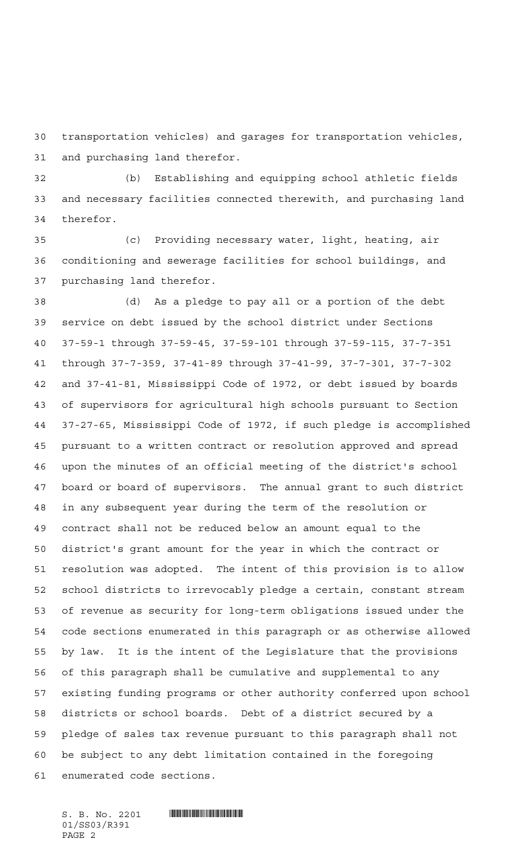transportation vehicles) and garages for transportation vehicles, and purchasing land therefor.

 (b) Establishing and equipping school athletic fields and necessary facilities connected therewith, and purchasing land therefor.

 (c) Providing necessary water, light, heating, air conditioning and sewerage facilities for school buildings, and purchasing land therefor.

 (d) As a pledge to pay all or a portion of the debt service on debt issued by the school district under Sections 37-59-1 through 37-59-45, 37-59-101 through 37-59-115, 37-7-351 through 37-7-359, 37-41-89 through 37-41-99, 37-7-301, 37-7-302 and 37-41-81, Mississippi Code of 1972, or debt issued by boards of supervisors for agricultural high schools pursuant to Section 37-27-65, Mississippi Code of 1972, if such pledge is accomplished pursuant to a written contract or resolution approved and spread upon the minutes of an official meeting of the district's school board or board of supervisors. The annual grant to such district in any subsequent year during the term of the resolution or contract shall not be reduced below an amount equal to the district's grant amount for the year in which the contract or resolution was adopted. The intent of this provision is to allow school districts to irrevocably pledge a certain, constant stream of revenue as security for long-term obligations issued under the code sections enumerated in this paragraph or as otherwise allowed by law. It is the intent of the Legislature that the provisions of this paragraph shall be cumulative and supplemental to any existing funding programs or other authority conferred upon school districts or school boards. Debt of a district secured by a pledge of sales tax revenue pursuant to this paragraph shall not be subject to any debt limitation contained in the foregoing enumerated code sections.

 $S.$  B. No. 2201  $\blacksquare$ 01/SS03/R391 PAGE 2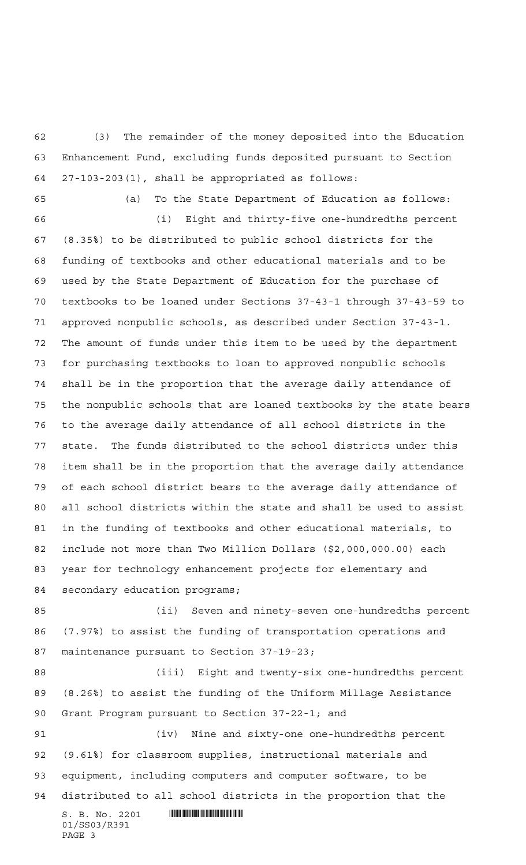(3) The remainder of the money deposited into the Education Enhancement Fund, excluding funds deposited pursuant to Section 27-103-203(1), shall be appropriated as follows:

(a) To the State Department of Education as follows:

 (i) Eight and thirty-five one-hundredths percent (8.35%) to be distributed to public school districts for the funding of textbooks and other educational materials and to be used by the State Department of Education for the purchase of textbooks to be loaned under Sections 37-43-1 through 37-43-59 to approved nonpublic schools, as described under Section 37-43-1. The amount of funds under this item to be used by the department for purchasing textbooks to loan to approved nonpublic schools shall be in the proportion that the average daily attendance of the nonpublic schools that are loaned textbooks by the state bears to the average daily attendance of all school districts in the state. The funds distributed to the school districts under this item shall be in the proportion that the average daily attendance of each school district bears to the average daily attendance of all school districts within the state and shall be used to assist in the funding of textbooks and other educational materials, to include not more than Two Million Dollars (\$2,000,000.00) each year for technology enhancement projects for elementary and secondary education programs;

 (ii) Seven and ninety-seven one-hundredths percent (7.97%) to assist the funding of transportation operations and maintenance pursuant to Section 37-19-23;

 (iii) Eight and twenty-six one-hundredths percent (8.26%) to assist the funding of the Uniform Millage Assistance Grant Program pursuant to Section 37-22-1; and

 (iv) Nine and sixty-one one-hundredths percent (9.61%) for classroom supplies, instructional materials and equipment, including computers and computer software, to be distributed to all school districts in the proportion that the

 $S. B. No. 2201$  . The set of  $\sim$  set of  $S. B. N_O$  and  $S. S. S. S.$ 01/SS03/R391 PAGE 3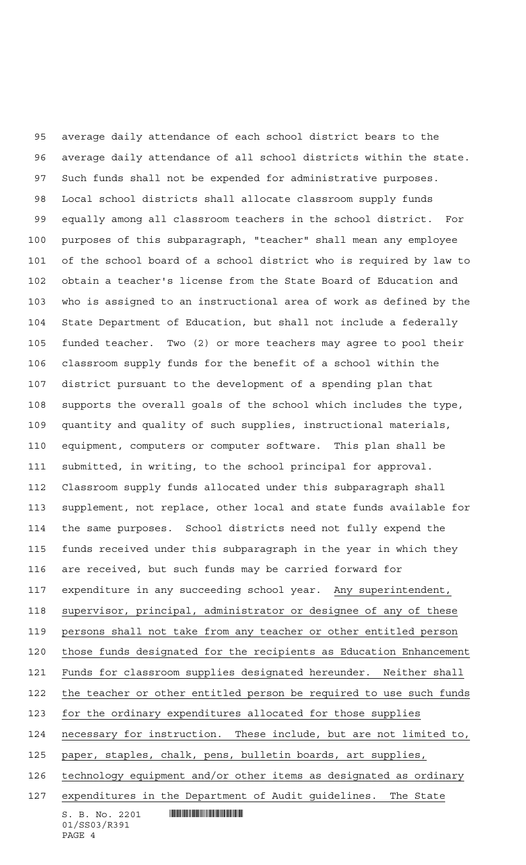$S. B. No. 2201$  . We say the set of  $S. B. No. 2201$  average daily attendance of each school district bears to the average daily attendance of all school districts within the state. Such funds shall not be expended for administrative purposes. Local school districts shall allocate classroom supply funds equally among all classroom teachers in the school district. For purposes of this subparagraph, "teacher" shall mean any employee of the school board of a school district who is required by law to obtain a teacher's license from the State Board of Education and who is assigned to an instructional area of work as defined by the State Department of Education, but shall not include a federally funded teacher. Two (2) or more teachers may agree to pool their classroom supply funds for the benefit of a school within the district pursuant to the development of a spending plan that supports the overall goals of the school which includes the type, quantity and quality of such supplies, instructional materials, equipment, computers or computer software. This plan shall be submitted, in writing, to the school principal for approval. Classroom supply funds allocated under this subparagraph shall supplement, not replace, other local and state funds available for the same purposes. School districts need not fully expend the funds received under this subparagraph in the year in which they are received, but such funds may be carried forward for expenditure in any succeeding school year. Any superintendent, supervisor, principal, administrator or designee of any of these persons shall not take from any teacher or other entitled person those funds designated for the recipients as Education Enhancement Funds for classroom supplies designated hereunder. Neither shall the teacher or other entitled person be required to use such funds for the ordinary expenditures allocated for those supplies necessary for instruction. These include, but are not limited to, paper, staples, chalk, pens, bulletin boards, art supplies, technology equipment and/or other items as designated as ordinary expenditures in the Department of Audit guidelines. The State

01/SS03/R391 PAGE 4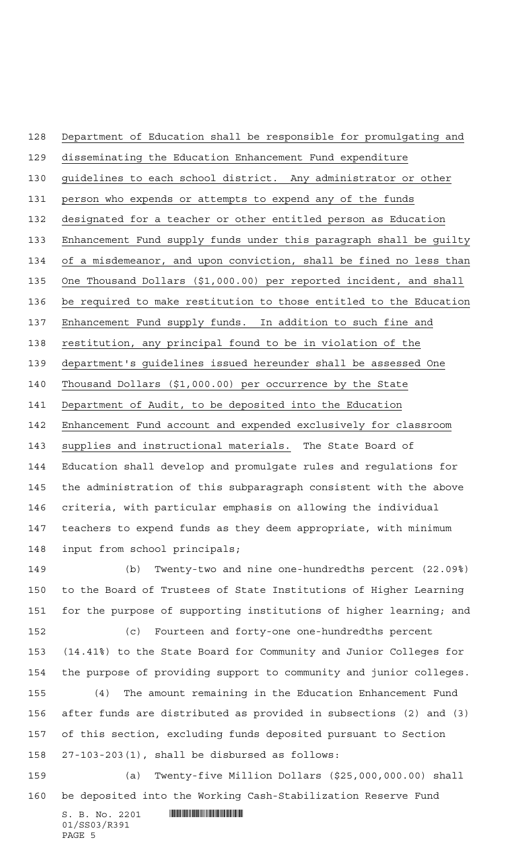Department of Education shall be responsible for promulgating and

disseminating the Education Enhancement Fund expenditure

guidelines to each school district. Any administrator or other

person who expends or attempts to expend any of the funds

designated for a teacher or other entitled person as Education

Enhancement Fund supply funds under this paragraph shall be guilty

of a misdemeanor, and upon conviction, shall be fined no less than

One Thousand Dollars (\$1,000.00) per reported incident, and shall

be required to make restitution to those entitled to the Education

137 Enhancement Fund supply funds. In addition to such fine and

restitution, any principal found to be in violation of the

department's guidelines issued hereunder shall be assessed One

Thousand Dollars (\$1,000.00) per occurrence by the State

Department of Audit, to be deposited into the Education

Enhancement Fund account and expended exclusively for classroom

 supplies and instructional materials. The State Board of Education shall develop and promulgate rules and regulations for the administration of this subparagraph consistent with the above criteria, with particular emphasis on allowing the individual teachers to expend funds as they deem appropriate, with minimum input from school principals;

 (b) Twenty-two and nine one-hundredths percent (22.09%) to the Board of Trustees of State Institutions of Higher Learning for the purpose of supporting institutions of higher learning; and

 (c) Fourteen and forty-one one-hundredths percent (14.41%) to the State Board for Community and Junior Colleges for the purpose of providing support to community and junior colleges. (4) The amount remaining in the Education Enhancement Fund after funds are distributed as provided in subsections (2) and (3) of this section, excluding funds deposited pursuant to Section 27-103-203(1), shall be disbursed as follows:

 (a) Twenty-five Million Dollars (\$25,000,000.00) shall be deposited into the Working Cash-Stabilization Reserve Fund

 $S. B. No. 2201$  . We say the set of  $S. B. No. 2201$ 01/SS03/R391 PAGE 5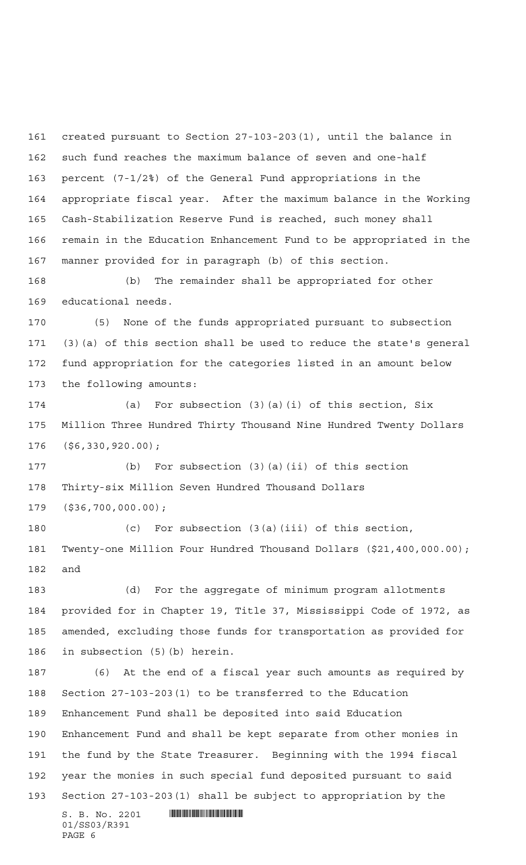created pursuant to Section 27-103-203(1), until the balance in such fund reaches the maximum balance of seven and one-half percent (7-1/2%) of the General Fund appropriations in the appropriate fiscal year. After the maximum balance in the Working Cash-Stabilization Reserve Fund is reached, such money shall remain in the Education Enhancement Fund to be appropriated in the manner provided for in paragraph (b) of this section.

 (b) The remainder shall be appropriated for other educational needs.

 (5) None of the funds appropriated pursuant to subsection (3)(a) of this section shall be used to reduce the state's general fund appropriation for the categories listed in an amount below the following amounts:

 (a) For subsection (3)(a)(i) of this section, Six Million Three Hundred Thirty Thousand Nine Hundred Twenty Dollars (\$6,330,920.00);

 (b) For subsection (3)(a)(ii) of this section Thirty-six Million Seven Hundred Thousand Dollars (\$36,700,000.00);

 (c) For subsection (3(a)(iii) of this section, Twenty-one Million Four Hundred Thousand Dollars (\$21,400,000.00); and

 (d) For the aggregate of minimum program allotments provided for in Chapter 19, Title 37, Mississippi Code of 1972, as amended, excluding those funds for transportation as provided for in subsection (5)(b) herein.

 (6) At the end of a fiscal year such amounts as required by Section 27-103-203(1) to be transferred to the Education Enhancement Fund shall be deposited into said Education Enhancement Fund and shall be kept separate from other monies in the fund by the State Treasurer. Beginning with the 1994 fiscal year the monies in such special fund deposited pursuant to said Section 27-103-203(1) shall be subject to appropriation by the

 $S. B. No. 2201$  . We say the set of  $S. B. No. 2201$ 01/SS03/R391 PAGE 6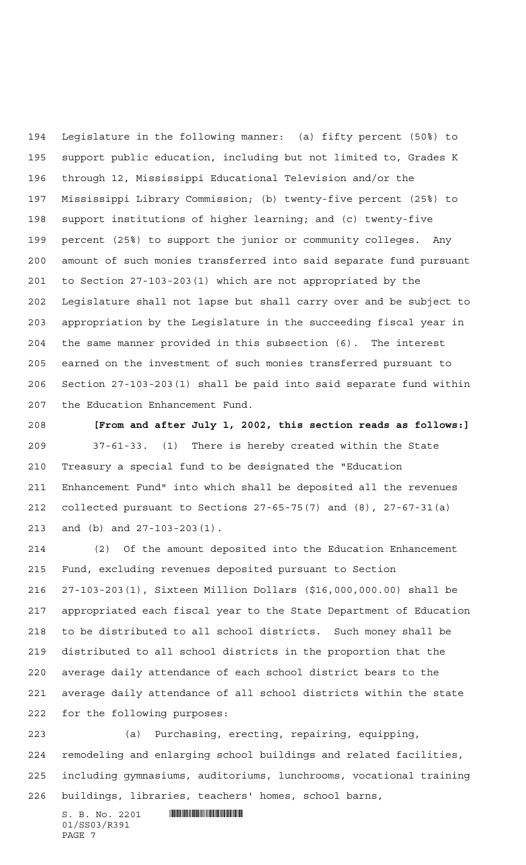Legislature in the following manner: (a) fifty percent (50%) to support public education, including but not limited to, Grades K through 12, Mississippi Educational Television and/or the Mississippi Library Commission; (b) twenty-five percent (25%) to support institutions of higher learning; and (c) twenty-five percent (25%) to support the junior or community colleges. Any amount of such monies transferred into said separate fund pursuant to Section 27-103-203(1) which are not appropriated by the Legislature shall not lapse but shall carry over and be subject to appropriation by the Legislature in the succeeding fiscal year in the same manner provided in this subsection (6). The interest earned on the investment of such monies transferred pursuant to Section 27-103-203(1) shall be paid into said separate fund within the Education Enhancement Fund.

 **[From and after July 1, 2002, this section reads as follows:]** 37-61-33. (1) There is hereby created within the State Treasury a special fund to be designated the "Education Enhancement Fund" into which shall be deposited all the revenues collected pursuant to Sections 27-65-75(7) and (8), 27-67-31(a) and (b) and 27-103-203(1).

 (2) Of the amount deposited into the Education Enhancement Fund, excluding revenues deposited pursuant to Section 27-103-203(1), Sixteen Million Dollars (\$16,000,000.00) shall be appropriated each fiscal year to the State Department of Education to be distributed to all school districts. Such money shall be distributed to all school districts in the proportion that the average daily attendance of each school district bears to the average daily attendance of all school districts within the state for the following purposes:

 (a) Purchasing, erecting, repairing, equipping, remodeling and enlarging school buildings and related facilities, including gymnasiums, auditoriums, lunchrooms, vocational training buildings, libraries, teachers' homes, school barns,

 $S. B. No. 2201$  . The set of  $\sim$  set of  $S. B. N_O.$ 01/SS03/R391 PAGE 7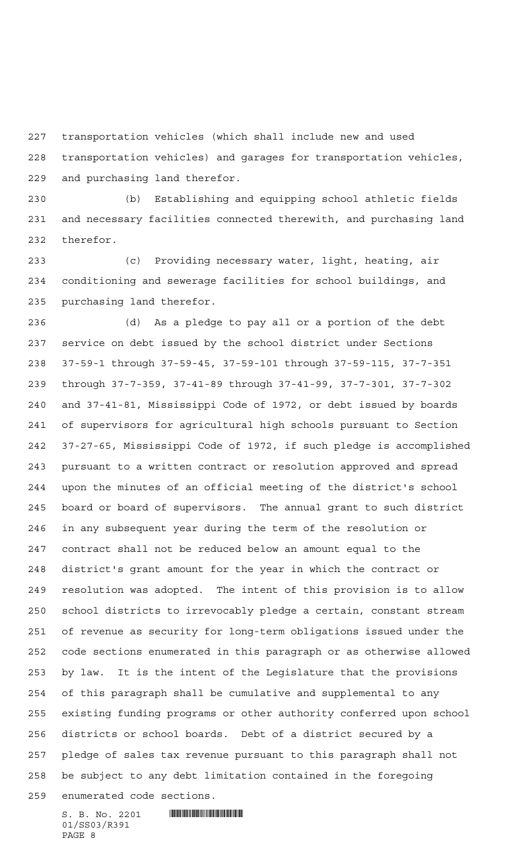transportation vehicles (which shall include new and used

 transportation vehicles) and garages for transportation vehicles, and purchasing land therefor.

 (b) Establishing and equipping school athletic fields and necessary facilities connected therewith, and purchasing land therefor.

 (c) Providing necessary water, light, heating, air conditioning and sewerage facilities for school buildings, and purchasing land therefor.

 (d) As a pledge to pay all or a portion of the debt service on debt issued by the school district under Sections 37-59-1 through 37-59-45, 37-59-101 through 37-59-115, 37-7-351 through 37-7-359, 37-41-89 through 37-41-99, 37-7-301, 37-7-302 and 37-41-81, Mississippi Code of 1972, or debt issued by boards of supervisors for agricultural high schools pursuant to Section 37-27-65, Mississippi Code of 1972, if such pledge is accomplished pursuant to a written contract or resolution approved and spread upon the minutes of an official meeting of the district's school board or board of supervisors. The annual grant to such district in any subsequent year during the term of the resolution or contract shall not be reduced below an amount equal to the district's grant amount for the year in which the contract or resolution was adopted. The intent of this provision is to allow school districts to irrevocably pledge a certain, constant stream of revenue as security for long-term obligations issued under the code sections enumerated in this paragraph or as otherwise allowed by law. It is the intent of the Legislature that the provisions of this paragraph shall be cumulative and supplemental to any existing funding programs or other authority conferred upon school districts or school boards. Debt of a district secured by a pledge of sales tax revenue pursuant to this paragraph shall not be subject to any debt limitation contained in the foregoing enumerated code sections.

 $S. B. No. 2201$  . The set of  $\mathbb S$  and  $\mathbb S$  and  $\mathbb S$  and  $\mathbb S$  and  $\mathbb S$  and  $\mathbb S$  and  $\mathbb S$  and  $\mathbb S$  and  $\mathbb S$  and  $\mathbb S$  and  $\mathbb S$  and  $\mathbb S$  and  $\mathbb S$  and  $\mathbb S$  and  $\mathbb S$  and  $\mathbb S$  and  $\mathbb S$  and  $\mathbb S$  01/SS03/R391 PAGE 8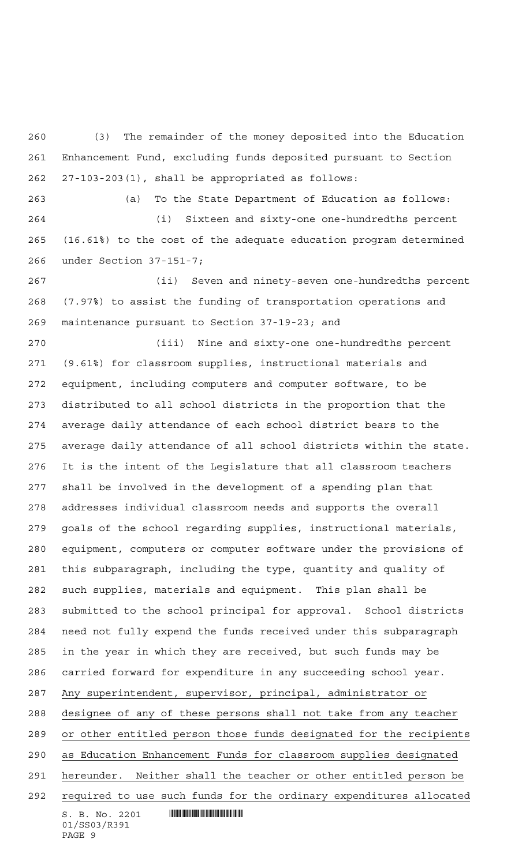(3) The remainder of the money deposited into the Education Enhancement Fund, excluding funds deposited pursuant to Section 27-103-203(1), shall be appropriated as follows:

 (a) To the State Department of Education as follows: (i) Sixteen and sixty-one one-hundredths percent (16.61%) to the cost of the adequate education program determined under Section 37-151-7;

 (ii) Seven and ninety-seven one-hundredths percent (7.97%) to assist the funding of transportation operations and maintenance pursuant to Section 37-19-23; and

 $S. B. No. 2201$  . We say the set of  $S. B. No. 2201$  (iii) Nine and sixty-one one-hundredths percent (9.61%) for classroom supplies, instructional materials and equipment, including computers and computer software, to be distributed to all school districts in the proportion that the average daily attendance of each school district bears to the average daily attendance of all school districts within the state. It is the intent of the Legislature that all classroom teachers shall be involved in the development of a spending plan that addresses individual classroom needs and supports the overall goals of the school regarding supplies, instructional materials, equipment, computers or computer software under the provisions of this subparagraph, including the type, quantity and quality of such supplies, materials and equipment. This plan shall be submitted to the school principal for approval. School districts need not fully expend the funds received under this subparagraph in the year in which they are received, but such funds may be carried forward for expenditure in any succeeding school year. Any superintendent, supervisor, principal, administrator or designee of any of these persons shall not take from any teacher or other entitled person those funds designated for the recipients as Education Enhancement Funds for classroom supplies designated hereunder. Neither shall the teacher or other entitled person be required to use such funds for the ordinary expenditures allocated

```
01/SS03/R391
PAGE 9
```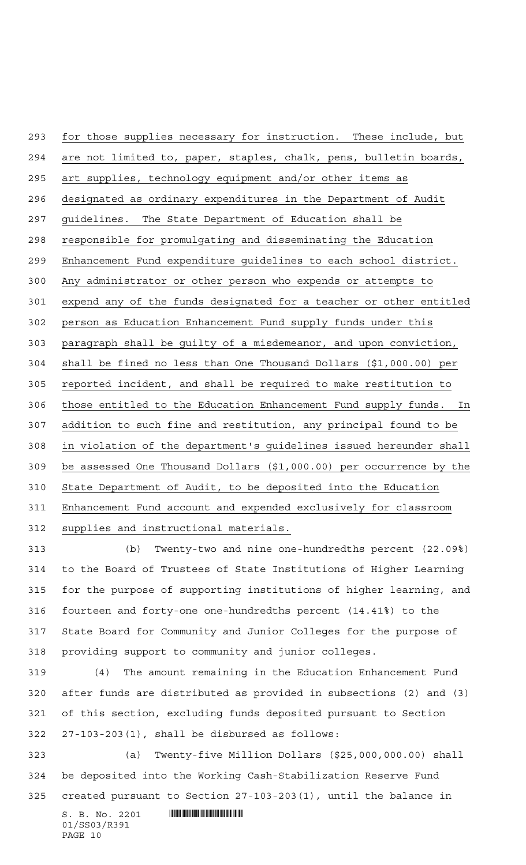for those supplies necessary for instruction. These include, but are not limited to, paper, staples, chalk, pens, bulletin boards, art supplies, technology equipment and/or other items as designated as ordinary expenditures in the Department of Audit guidelines. The State Department of Education shall be responsible for promulgating and disseminating the Education Enhancement Fund expenditure guidelines to each school district. Any administrator or other person who expends or attempts to expend any of the funds designated for a teacher or other entitled person as Education Enhancement Fund supply funds under this paragraph shall be guilty of a misdemeanor, and upon conviction, shall be fined no less than One Thousand Dollars (\$1,000.00) per reported incident, and shall be required to make restitution to those entitled to the Education Enhancement Fund supply funds. In addition to such fine and restitution, any principal found to be in violation of the department's guidelines issued hereunder shall be assessed One Thousand Dollars (\$1,000.00) per occurrence by the State Department of Audit, to be deposited into the Education Enhancement Fund account and expended exclusively for classroom supplies and instructional materials.

 (b) Twenty-two and nine one-hundredths percent (22.09%) to the Board of Trustees of State Institutions of Higher Learning for the purpose of supporting institutions of higher learning, and fourteen and forty-one one-hundredths percent (14.41%) to the State Board for Community and Junior Colleges for the purpose of providing support to community and junior colleges.

 (4) The amount remaining in the Education Enhancement Fund after funds are distributed as provided in subsections (2) and (3) of this section, excluding funds deposited pursuant to Section 27-103-203(1), shall be disbursed as follows:

 (a) Twenty-five Million Dollars (\$25,000,000.00) shall be deposited into the Working Cash-Stabilization Reserve Fund created pursuant to Section 27-103-203(1), until the balance in

 $S. B. No. 2201$  . We have the set of  $S. B. No. 2201$ 01/SS03/R391 PAGE 10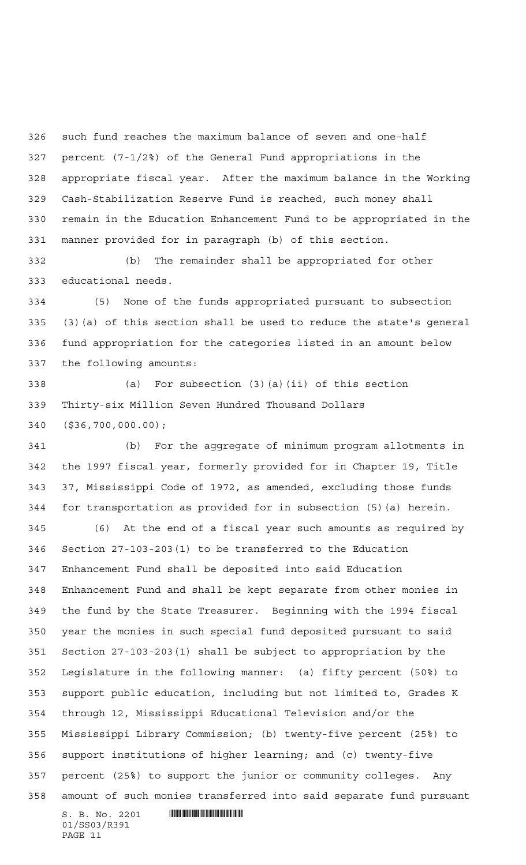such fund reaches the maximum balance of seven and one-half percent (7-1/2%) of the General Fund appropriations in the appropriate fiscal year. After the maximum balance in the Working Cash-Stabilization Reserve Fund is reached, such money shall remain in the Education Enhancement Fund to be appropriated in the manner provided for in paragraph (b) of this section.

 (b) The remainder shall be appropriated for other educational needs.

 (5) None of the funds appropriated pursuant to subsection (3)(a) of this section shall be used to reduce the state's general fund appropriation for the categories listed in an amount below the following amounts:

 (a) For subsection (3)(a)(ii) of this section Thirty-six Million Seven Hundred Thousand Dollars (\$36,700,000.00);

 (b) For the aggregate of minimum program allotments in the 1997 fiscal year, formerly provided for in Chapter 19, Title 37, Mississippi Code of 1972, as amended, excluding those funds for transportation as provided for in subsection (5)(a) herein.

 (6) At the end of a fiscal year such amounts as required by Section 27-103-203(1) to be transferred to the Education Enhancement Fund shall be deposited into said Education Enhancement Fund and shall be kept separate from other monies in the fund by the State Treasurer. Beginning with the 1994 fiscal year the monies in such special fund deposited pursuant to said Section 27-103-203(1) shall be subject to appropriation by the Legislature in the following manner: (a) fifty percent (50%) to support public education, including but not limited to, Grades K through 12, Mississippi Educational Television and/or the Mississippi Library Commission; (b) twenty-five percent (25%) to support institutions of higher learning; and (c) twenty-five percent (25%) to support the junior or community colleges. Any amount of such monies transferred into said separate fund pursuant

 $S. B. No. 2201$  . We say the set of  $S. B. No. 2201$ 01/SS03/R391 PAGE 11